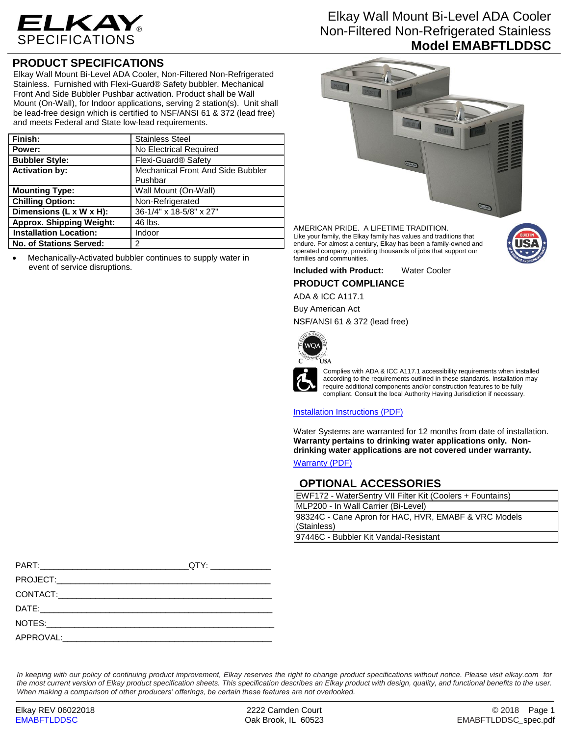

## **PRODUCT SPECIFICATIONS**

Elkay Wall Mount Bi-Level ADA Cooler, Non-Filtered Non-Refrigerated Stainless. Furnished with Flexi-Guard® Safety bubbler. Mechanical Front And Side Bubbler Pushbar activation. Product shall be Wall Mount (On-Wall), for Indoor applications, serving 2 station(s). Unit shall be lead-free design which is certified to NSF/ANSI 61 & 372 (lead free) and meets Federal and State low-lead requirements.

| Finish:                         | <b>Stainless Steel</b>            |  |
|---------------------------------|-----------------------------------|--|
| Power:                          | No Electrical Required            |  |
| <b>Bubbler Style:</b>           | Flexi-Guard <sup>®</sup> Safety   |  |
| <b>Activation by:</b>           | Mechanical Front And Side Bubbler |  |
|                                 | Pushbar                           |  |
| <b>Mounting Type:</b>           | Wall Mount (On-Wall)              |  |
| <b>Chilling Option:</b>         | Non-Refrigerated                  |  |
| Dimensions (L x W x H):         | 36-1/4" x 18-5/8" x 27"           |  |
| <b>Approx. Shipping Weight:</b> | 46 lbs.                           |  |
| <b>Installation Location:</b>   | Indoor                            |  |
| No. of Stations Served:         | 2                                 |  |

 Mechanically-Activated bubbler continues to supply water in event of service disruptions.

## Elkay Wall Mount Bi-Level ADA Cooler Non-Filtered Non-Refrigerated Stainless **Model EMABFTLDDSC**



AMERICAN PRIDE. A LIFETIME TRADITION. Like your family, the Elkay family has values and traditions that endure. For almost a century, Elkay has been a family-owned and operated company, providing thousands of jobs that support our families and communities.



**Included with Product:** Water Cooler

## **PRODUCT COMPLIANCE**

ADA & ICC A117.1

Buy American Act

NSF/ANSI 61 & 372 (lead free)



Complies with ADA & ICC A117.1 accessibility requirements when installed according to the requirements outlined in these standards. Installation may require additional components and/or construction features to be fully compliant. Consult the local Authority Having Jurisdiction if necessary.

### [Installation Instructions \(PDF\)](http://www.elkay.com/wcsstore/lkdocs/care-cleaning-install-warranty-sheets/98933c.pdf)

Water Systems are warranted for 12 months from date of installation. **Warranty pertains to drinking water applications only. Nondrinking water applications are not covered under warranty.** [Warranty](http://www.elkay.com/wcsstore/lkdocs/care-cleaning-install-warranty-sheets/96993c.pdf) (PDF)

**OPTIONAL ACCESSORIES**

| EWF172 - WaterSentry VII Filter Kit (Coolers + Fountains) |  |
|-----------------------------------------------------------|--|
| MLP200 - In Wall Carrier (Bi-Level)                       |  |
| 98324C - Cane Apron for HAC, HVR, EMABF & VRC Models      |  |
| (Stainless)                                               |  |
| 97446C - Bubbler Kit Vandal-Resistant                     |  |

|                                                                                                                                                                                                                               | _QTY: _______________ |
|-------------------------------------------------------------------------------------------------------------------------------------------------------------------------------------------------------------------------------|-----------------------|
|                                                                                                                                                                                                                               |                       |
|                                                                                                                                                                                                                               |                       |
|                                                                                                                                                                                                                               |                       |
| NOTES: A CONSTRUCTION OF THE CONSTRUCTION OF THE CONSTRUCTION OF THE CONSTRUCTION OF THE CONSTRUCTION OF THE CONSTRUCTION OF THE CONSTRUCTION OF THE CONSTRUCTION OF THE CONSTRUCTION OF THE CONSTRUCTION OF THE CONSTRUCTION |                       |
| APPROVAL: APPROVAL:                                                                                                                                                                                                           |                       |

*In keeping with our policy of continuing product improvement, Elkay reserves the right to change product specifications without notice. Please visit elkay.com for the most current version of Elkay product specification sheets. This specification describes an Elkay product with design, quality, and functional benefits to the user. When making a comparison of other producers' offerings, be certain these features are not overlooked.*